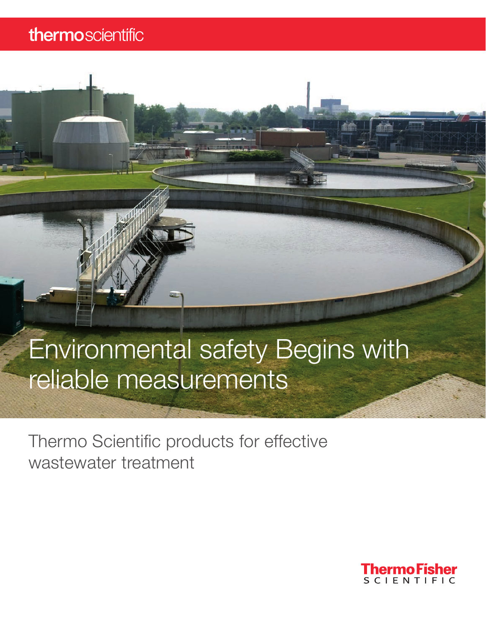### thermoscientific

## Environmental safety Begins with reliable measurements

Thermo Scientific products for effective wastewater treatment

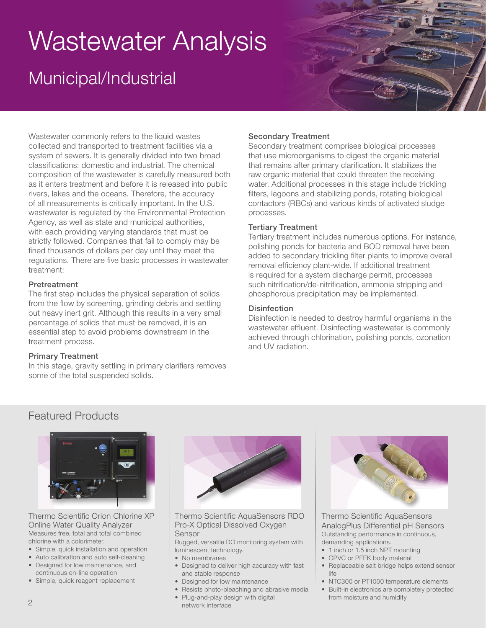# Wastewater Analysis

## Municipal/Industrial

Wastewater commonly refers to the liquid wastes collected and transported to treatment facilities via a system of sewers. It is generally divided into two broad classifications: domestic and industrial. The chemical composition of the wastewater is carefully measured both as it enters treatment and before it is released into public rivers, lakes and the oceans. Therefore, the accuracy of all measurements is critically important. In the U.S. wastewater is regulated by the Environmental Protection Agency, as well as state and municipal authorities, with each providing varying standards that must be strictly followed. Companies that fail to comply may be fined thousands of dollars per day until they meet the regulations. There are five basic processes in wastewater treatment:

#### Pretreatment

The first step includes the physical separation of solids from the flow by screening, grinding debris and settling out heavy inert grit. Although this results in a very small percentage of solids that must be removed, it is an essential step to avoid problems downstream in the treatment process.

#### Primary Treatment

In this stage, gravity settling in primary clarifiers removes some of the total suspended solids.

#### Secondary Treatment

Secondary treatment comprises biological processes that use microorganisms to digest the organic material that remains after primary clarification. It stabilizes the raw organic material that could threaten the receiving water. Additional processes in this stage include trickling filters, lagoons and stabilizing ponds, rotating biological contactors (RBCs) and various kinds of activated sludge processes.

#### Tertiary Treatment

Tertiary treatment includes numerous options. For instance, polishing ponds for bacteria and BOD removal have been added to secondary trickling filter plants to improve overall removal efficiency plant-wide. If additional treatment is required for a system discharge permit, processes such nitrification/de-nitrification, ammonia stripping and phosphorous precipitation may be implemented.

#### **Disinfection**

Disinfection is needed to destroy harmful organisms in the wastewater effluent. Disinfecting wastewater is commonly achieved through chlorination, polishing ponds, ozonation and UV radiation.

#### Featured Products



Thermo Scientific Orion Chlorine XP Online Water Quality Analyzer Measures free, total and total combined chlorine with a colorimeter.

- Simple, quick installation and operation
- Auto calibration and auto self-cleaning
- Designed for low maintenance, and continuous on-line operation
- Simple, quick reagent replacement



Thermo Scientific AquaSensors RDO Pro-X Optical Dissolved Oxygen Sensor

Rugged, versatile DO monitoring system with luminescent technology.

- No membranes
- Designed to deliver high accuracy with fast and stable response
- Designed for low maintenance
- Resists photo-bleaching and abrasive media
- Plug-and-play design with digital network interface



Thermo Scientific AquaSensors AnalogPlus Differential pH Sensors Outstanding performance in continuous, demanding applications.

- 1 inch or 1.5 inch NPT mounting
- CPVC or PEEK body material
- Replaceable salt bridge helps extend sensor life
- NTC300 or PT1000 temperature elements
- Built-in electronics are completely protected from moisture and humidity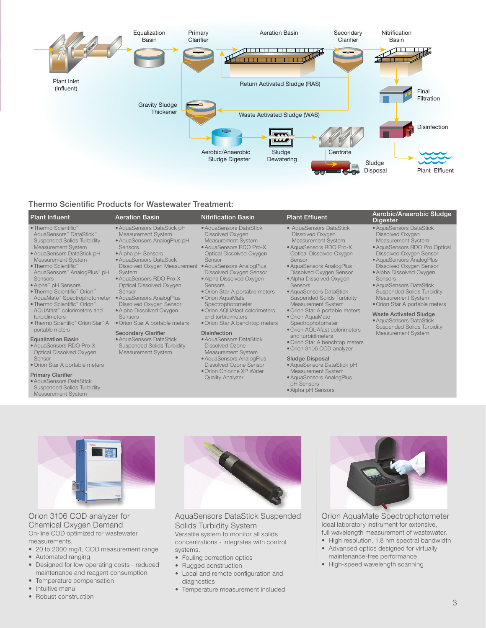

#### Thermo Scientific Products for Wastewater Treatment:

| <b>Plant Influent</b>                                                                                                                                                                                                                                                                                                                                                                                                                                                                                                                                                                                    | <b>Aeration Basin</b>                                                                                                                                                                                                                                                                                                                                                                                                                                                                                             | <b>Nitrification Basin</b>                                                                                                                                                                                                                                                                                                                                                                                                                                                                                   | <b>Plant Effluent</b>                                                                                                                                                                                                                                                                                                                                                                                                                                                                                                          | Aerobic/Anaerobic Sludge<br><b>Digester</b>                                                                                                                                                                                                                                                                                                                                                                                                                                       |
|----------------------------------------------------------------------------------------------------------------------------------------------------------------------------------------------------------------------------------------------------------------------------------------------------------------------------------------------------------------------------------------------------------------------------------------------------------------------------------------------------------------------------------------------------------------------------------------------------------|-------------------------------------------------------------------------------------------------------------------------------------------------------------------------------------------------------------------------------------------------------------------------------------------------------------------------------------------------------------------------------------------------------------------------------------------------------------------------------------------------------------------|--------------------------------------------------------------------------------------------------------------------------------------------------------------------------------------------------------------------------------------------------------------------------------------------------------------------------------------------------------------------------------------------------------------------------------------------------------------------------------------------------------------|--------------------------------------------------------------------------------------------------------------------------------------------------------------------------------------------------------------------------------------------------------------------------------------------------------------------------------------------------------------------------------------------------------------------------------------------------------------------------------------------------------------------------------|-----------------------------------------------------------------------------------------------------------------------------------------------------------------------------------------------------------------------------------------------------------------------------------------------------------------------------------------------------------------------------------------------------------------------------------------------------------------------------------|
| • Thermo Scientific"<br>AquaSensors™ DataStick™<br><b>Suspended Solids Turbidity</b><br>Measurement System<br>• AquaSensors DataStick pH<br>Measurement System<br>• Thermo Scientific <sup>™</sup><br>AquaSensors" AnalogPlus" pH<br><b>Sensors</b><br>• Alpha <sup>"</sup> pH Sensors<br>. Thermo Scientific™ Orion™<br>AquaMate <sup>"</sup> Spectrophotometer<br>• Thermo Scientific" Orion"<br>AQUAfast <sup>**</sup> colorimeters and<br>turbidimeters<br>• Thermo Scientific" Orion Star" A<br>portable meters<br><b>Equalization Basin</b><br>• AquaSensors RDO Pro-X<br>Optical Dissolved Oxygen | • AquaSensors DataStick pH<br>Measurement System<br>• AquaSensors AnalogPlus pH<br>Sensors<br>• Alpha pH Sensors<br>• AquaSensors DataStick<br>Dissolved Oxygen Measurement<br>System<br>• AquaSensors RDO Pro-X<br>Optical Dissolved Oxygen<br>Sensor<br>• AquaSensors AnalogPlus<br>Dissolved Oxygen Sensor<br>• Alpha Dissolved Oxygen<br><b>Sensors</b><br>• Orion Star A portable meters<br><b>Secondary Clarifier</b><br>• AquaSensors DataStick<br><b>Suspended Solids Turbidity</b><br>Measurement System | • AquaSensors DataStick<br>Dissolved Oxygen<br>Measurement System<br>· AquaSensors RDO Pro-X<br><b>Optical Dissolved Oxygen</b><br>Sensor<br>• AquaSensors AnalogPlus<br>Dissolved Oxygen Sensor<br>• Alpha Dissolved Oxygen<br><b>Sensors</b><br>• Orion Star A portable meters<br>• Orion AquaMate<br>Spectrophotometer<br>• Orion AQUAfast colorimeters<br>and turbidimeters<br>• Orion Star A benchtop meters<br><b>Disinfection</b><br>• AquaSensors DataStick<br>Dissolved Ozone<br>Measurement System | • AquaSensors DataStick<br>Dissolved Oxygen<br>Measurement System<br>· AquaSensors RDO Pro-X<br>Optical Dissolved Oxygen<br>Sensor<br>· AquaSensors AnalogPlus<br>Dissolved Oxygen Sensor<br>• Alpha Dissolved Oxygen<br><b>Sensors</b><br>• AquaSensors DataStick<br><b>Suspended Solids Turbidity</b><br>Measurement System<br>• Orion Star A portable meters<br>• Orion AquaMate<br>Spectrophotometer<br>• Orion AQUA fast colorimeters<br>and turbidimeters<br>• Orion Star A benchtop meters<br>• Orion 3106 COD analyzer | • AquaSensors DataStick<br>Dissolved Oxygen<br>Measurement System<br>• AquaSensors RDO Pro Optical<br>Dissolved Oxygen Sensor<br>• AquaSensors AnalogPlus<br>Dissolved Oxygen Sensor<br>• Alpha Dissolved Oxygen<br><b>Sensors</b><br>• AquaSensors DataStick<br><b>Suspended Solids Turbidity</b><br>Measurement System<br>• Orion Star A portable meters<br><b>Waste Activated Sludge</b><br>• AquaSensors DataStick<br><b>Suspended Solids Turbidity</b><br>Measurement System |

#### **Sensor** •Orion Star A portable meters

- Primary Clarifier
- •AquaSensors DataStick Suspended Solids Turbidity
- Measurement System
- •AquaSensors AnalogPlus
	- Dissolved Ozone Sensor •Orion Chlorine XP Water
	- Quality Analyzer
- 

#### Sludge Disposal

- •AquaSensors DataStick pH Measurement System
- •AquaSensors AnalogPlus
- pH Sensors
- •Alpha pH Sensors



#### Orion 3106 COD analyzer for Chemical Oxygen Demand

On-line COD optimized for wastewater measurements.

- 20 to 2000 mg/L COD measurement range
- Automated ranging
- Designed for low operating costs reduced maintenance and reagent consumption
- Temperature compensation
- Intuitive menu
- Robust construction



AquaSensors DataStick Suspended Solids Turbidity System Versatile system to monitor all solids concentrations - integrates with control systems.

- Fouling correction optics
- Rugged construction
- Local and remote configuration and diagnostics
- Temperature measurement included



Orion AquaMate Spectrophotometer Ideal laboratory instrument for extensive, full wavelength measurement of wastewater.

- High resolution, 1.8 nm spectral bandwidth
- Advanced optics designed for virtually maintenance-free performance
- High-speed wavelength scanning